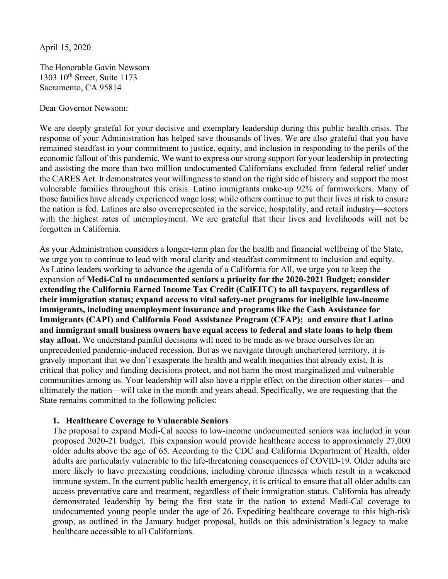April 15, 2020

The Honorable Gavin Newsom 1303 10<sup>th</sup> Street, Suite 1173 Sacramento, CA 95814

Dear Governor Newsom:

We are deeply grateful for your decisive and exemplary leadership during this public health crisis. The response of your Administration has helped save thousands of lives. We are also grateful that you have remained steadfast in your commitment to justice, equity, and inclusion in responding to the perils of the economic fallout of this pandemic. We want to express our strong support for your leadership in protecting and assisting the more than two million undocumented Californians excluded from federal relief under the CARES Act. It demonstrates your willingness to stand on the right side of history and support the most vulnerable families throughout this crisis. Latino immigrants make-up 92% of farmworkers. Many of those families have already experienced wage loss; while others continue to put their lives at risk to ensure the nation is fed. Latinos are also overrepresented in the service, hospitality, and retail industry—sectors with the highest rates of unemployment. We are grateful that their lives and livelihoods will not be forgotten in California.

As your Administration considers a longer-term plan for the health and financial wellbeing of the State, we urge you to continue to lead with moral clarity and steadfast commitment to inclusion and equity. As Latino leaders working to advance the agenda of a California for All, we urge you to keep the expansion of **Medi-Cal to undocumented seniors a priority for the 2020-2021 Budget; consider extending the California Earned Income Tax Credit (CalEITC) to all taxpayers, regardless of their immigration status; expand access to vital safety-net programs for ineligible low-income immigrants, including unemployment insurance and programs like the Cash Assistance for Immigrants (CAPI) and California Food Assistance Program (CFAP); and ensure that Latino and immigrant small business owners have equal access to federal and state loans to help them stay afloat.** We understand painful decisions will need to be made as we brace ourselves for an unprecedented pandemic-induced recession. But as we navigate through unchartered territory, it is gravely important that we don't exasperate the health and wealth inequities that already exist. It is critical that policy and funding decisions protect, and not harm the most marginalized and vulnerable communities among us. Your leadership will also have a ripple effect on the direction other states—and ultimately the nation—will take in the month and years ahead. Specifically, we are requesting that the State remains committed to the following policies:

## **1. Healthcare Coverage to Vulnerable Seniors**

The proposal to expand Medi-Cal access to low-income undocumented seniors was included in your proposed 2020-21 budget. This expansion would provide healthcare access t[o approximately 27,000](https://www.ppic.org/blog/medi-cal-expansion-for-undocumented-seniors/) [older adults](https://www.ppic.org/blog/medi-cal-expansion-for-undocumented-seniors/) above the age of 65. According to the CDC and California Department of Health, older adults are particularly vulnerable to the life-threatening consequences of COVID-19. Older adults are more likely to have preexisting conditions, including chronic illnesses which result in a weakened immune system. In the current public health emergency, it is critical to ensure that all older adults can access preventative care and treatment, regardless of their immigration status. California has already demonstrated leadership by being the first state in the nation to extend Medi-Cal coverage to undocumented young people under the age of 26. Expediting healthcare coverage to this high-risk group, as outlined in the January budget proposal, builds on this administration's legacy to make healthcare accessible to all Californians.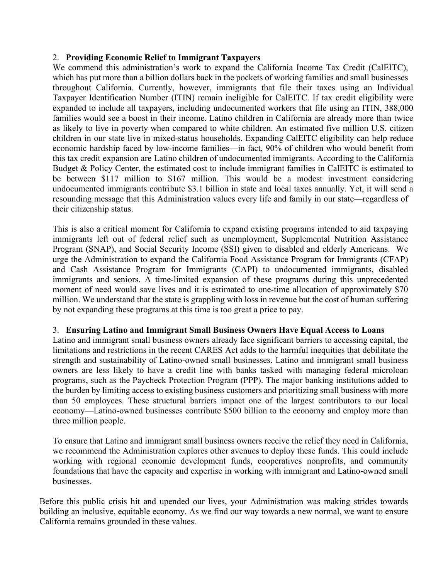## 2. **Providing Economic Relief to Immigrant Taxpayers**

We commend this administration's work to expand the California Income Tax Credit (CalEITC), which has put more than a billion dollars back in the pockets of working families and small businesses throughout California. Currently, however, immigrants that file their taxes using an Individual Taxpayer Identification Number (ITIN) remain ineligible for CalEITC. If tax credit eligibility were expanded to include all taxpayers, including undocumented workers that file using an ITI[N, 388,000](https://calbudgetcenter.org/blog/expanding-the-caleitc-is-an-effective-way-to-invest-in-californias-children-but-hundreds-of-thousands-of-children-of-immigrants-wont-benefit-unless-policymakers-act/) [families](https://calbudgetcenter.org/blog/expanding-the-caleitc-is-an-effective-way-to-invest-in-californias-children-but-hundreds-of-thousands-of-children-of-immigrants-wont-benefit-unless-policymakers-act/) would see a boost in their income. Latino children in California are already [more than twice](https://calbudgetcenter.org/blog/expanding-the-caleitc-is-an-effective-way-to-invest-in-californias-children-but-hundreds-of-thousands-of-children-of-immigrants-wont-benefit-unless-policymakers-act/) [as likely to live in poverty](https://calbudgetcenter.org/blog/expanding-the-caleitc-is-an-effective-way-to-invest-in-californias-children-but-hundreds-of-thousands-of-children-of-immigrants-wont-benefit-unless-policymakers-act/) when compared to white children. An estimated five million U.S. citizen children in our state live in mixed-status households. Expanding CalEITC eligibility can help reduce economic hardship faced by low-income families—in fact[, 90% of children](https://calbudgetcenter.org/blog/expanding-the-caleitc-is-an-effective-way-to-invest-in-californias-children-but-hundreds-of-thousands-of-children-of-immigrants-wont-benefit-unless-policymakers-act/) who would benefit from this tax credit expansion are Latino children of undocumented immigrants. According to the California Budget & Policy Center, the estimated cost to include immigrant families in CalEITC is estimated to be between [\\$117 million to \\$167 million.](https://calbudgetcenter.org/blog/expanding-the-caleitc-is-an-effective-way-to-invest-in-californias-children-but-hundreds-of-thousands-of-children-of-immigrants-wont-benefit-unless-policymakers-act/) This would be a modest investment considering undocumented immigrants contribut[e \\$3.1 billion](https://itep.org/wp-content/uploads/immigration2017.pdf) in state and local taxes annually. Yet, it will send a resounding message that this Administration values every life and family in our state—regardless of their citizenship status.

This is also a critical moment for California to expand existing programs intended to aid taxpaying immigrants left out of federal relief such as unemployment, Supplemental Nutrition Assistance Program (SNAP), and Social Security Income (SSI) given to disabled and elderly Americans. We urge the Administration to expand the California Food Assistance Program for Immigrants (CFAP) and Cash Assistance Program for Immigrants (CAPI) to undocumented immigrants, disabled immigrants and seniors. A time-limited expansion of these programs during this unprecedented moment of need would save lives and it is estimated to one-time allocation of approximately \$70 million. We understand that the state is grappling with loss in revenue but the cost of human suffering by not expanding these programs at this time is too great a price to pay.

## 3. **Ensuring Latino and Immigrant Small Business Owners Have Equal Access to Loans**

Latino and immigrant small business owners already face significant barriers to accessing capital, the limitations and restrictions in the recent CARES Act adds to the harmful inequities that debilitate the strength and sustainability of Latino-owned small businesses. Latino and immigrant small business owners are less likely to have a credit line with banks tasked with managing federal microloan programs, such as the Paycheck Protection Program (PPP). The major banking institutions added to the burden by limiting access to existing business customers and prioritizing small business with more than 50 employees. These structural barriers impact one of the largest contributors to our local economy—Latino-owned businesses contribute \$500 billion to the economy and employ more than three million people.

To ensure that Latino and immigrant small business owners receive the relief they need in California, we recommend the Administration explores other avenues to deploy these funds. This could include working with regional economic development funds, cooperatives nonprofits, and community foundations that have the capacity and expertise in working with immigrant and Latino-owned small businesses.

Before this public crisis hit and upended our lives, your Administration was making strides towards building an inclusive, equitable economy. As we find our way towards a new normal, we want to ensure California remains grounded in these values.